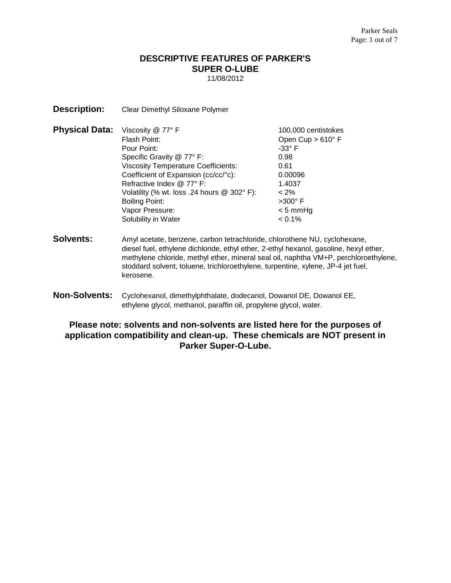# **DESCRIPTIVE FEATURES OF PARKER'S SUPER O-LUBE**

11/08/2012

**Description:** Clear Dimethyl Siloxane Polymer

| <b>Physical Data:</b> Viscosity @ 77° F |                                            | 100,000 centistokes      |
|-----------------------------------------|--------------------------------------------|--------------------------|
|                                         | Flash Point:                               | Open Cup $> 610^\circ$ F |
|                                         | Pour Point:                                | $-33^\circ$ F            |
|                                         | Specific Gravity @ 77° F:                  | 0.98                     |
|                                         | <b>Viscosity Temperature Coefficients:</b> | 0.61                     |
|                                         | Coefficient of Expansion (cc/cc/°c):       | 0.00096                  |
|                                         | Refractive Index @ 77° F:                  | 1.4037                   |
|                                         | Volatility (% wt. loss .24 hours @ 302°F): | $< 2\%$                  |
|                                         | Boiling Point:                             | $>300^\circ$ F           |
|                                         | Vapor Pressure:                            | $< 5$ mmHg               |
|                                         | Solubility in Water                        | $< 0.1\%$                |

- **Solvents:** Amyl acetate, benzene, carbon tetrachloride, chlorothene NU, cyclohexane, diesel fuel, ethylene dichloride, ethyl ether, 2-ethyl hexanol, gasoline, hexyl ether, methylene chloride, methyl ether, mineral seal oil, naphtha VM+P, perchloroethylene, stoddard solvent, toluene, trichloroethylene, turpentine, xylene, JP-4 jet fuel, kerosene.
- **Non-Solvents:** Cyclohexanol, dimethylphthalate, dodecanol, Dowanol DE, Dowanol EE, ethylene glycol, methanol, paraffin oil, propylene glycol, water.

**Please note: solvents and non-solvents are listed here for the purposes of application compatibility and clean-up. These chemicals are NOT present in Parker Super-O-Lube.**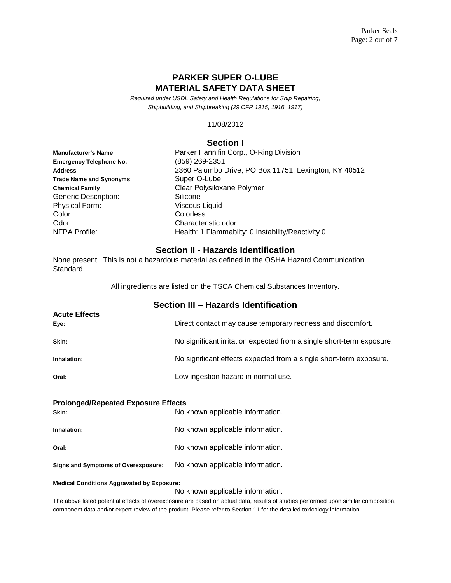## **PARKER SUPER O-LUBE MATERIAL SAFETY DATA SHEET**

*Required under USDL Safety and Health Regulations for Ship Repairing, Shipbuilding, and Shipbreaking (29 CFR 1915, 1916, 1917)*

11/08/2012

#### **Section I**

| <b>Manufacturer's Name</b>     |  |  |
|--------------------------------|--|--|
| <b>Emergency Telephone No.</b> |  |  |
| <b>Address</b>                 |  |  |
| <b>Trade Name and Synonyms</b> |  |  |
| <b>Chemical Family</b>         |  |  |
| <b>Generic Description:</b>    |  |  |
| <b>Physical Form:</b>          |  |  |
| Color:                         |  |  |
| Odor:                          |  |  |
| NFPA Profile:                  |  |  |

Parker Hannifin Corp., O-Ring Division **Emergency Telephone No.** (859) 269-2351 **Address** 2360 Palumbo Drive, PO Box 11751, Lexington, KY 40512 Super O-Lube **Clear Polysiloxane Polymer** Silicone Viscous Liquid **Colorless** Characteristic odor Health: 1 Flammablity: 0 Instability/Reactivity 0

#### **Section II - Hazards Identification**

None present. This is not a hazardous material as defined in the OSHA Hazard Communication Standard.

All ingredients are listed on the TSCA Chemical Substances Inventory.

| Section III - Hazards Identification |                                                                       |
|--------------------------------------|-----------------------------------------------------------------------|
| <b>Acute Effects</b><br>Eye:         | Direct contact may cause temporary redness and discomfort.            |
| Skin:                                | No significant irritation expected from a single short-term exposure. |
| Inhalation:                          | No significant effects expected from a single short-term exposure.    |
| Oral:                                | Low ingestion hazard in normal use.                                   |

#### **Prolonged/Repeated Exposure Effects**

| Skin:                               | No known applicable information. |
|-------------------------------------|----------------------------------|
| Inhalation:                         | No known applicable information. |
| Oral:                               | No known applicable information. |
| Signs and Symptoms of Overexposure: | No known applicable information. |

#### **Medical Conditions Aggravated by Exposure:**

No known applicable information.

The above listed potential effects of overexposure are based on actual data, results of studies performed upon similar composition, component data and/or expert review of the product. Please refer to Section 11 for the detailed toxicology information.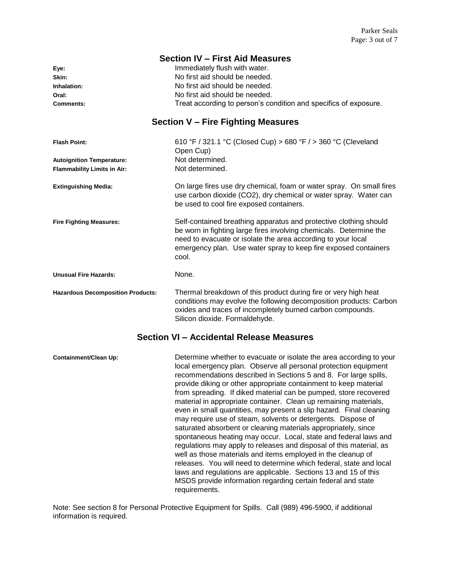|                                          | <b>Section IV - First Aid Measures</b>                                                                                                                                                                                                                                              |
|------------------------------------------|-------------------------------------------------------------------------------------------------------------------------------------------------------------------------------------------------------------------------------------------------------------------------------------|
| Eye:                                     | Immediately flush with water.                                                                                                                                                                                                                                                       |
| Skin:                                    | No first aid should be needed.                                                                                                                                                                                                                                                      |
| Inhalation:                              | No first aid should be needed.                                                                                                                                                                                                                                                      |
| Oral:                                    | No first aid should be needed.                                                                                                                                                                                                                                                      |
| <b>Comments:</b>                         | Treat according to person's condition and specifics of exposure.                                                                                                                                                                                                                    |
|                                          | <b>Section V - Fire Fighting Measures</b>                                                                                                                                                                                                                                           |
| <b>Flash Point:</b>                      | 610 °F / 321.1 °C (Closed Cup) > 680 °F / > 360 °C (Cleveland<br>Open Cup)                                                                                                                                                                                                          |
| <b>Autoignition Temperature:</b>         | Not determined.                                                                                                                                                                                                                                                                     |
| <b>Flammability Limits in Air:</b>       | Not determined.                                                                                                                                                                                                                                                                     |
| <b>Extinguishing Media:</b>              | On large fires use dry chemical, foam or water spray. On small fires<br>use carbon dioxide (CO2), dry chemical or water spray. Water can<br>be used to cool fire exposed containers.                                                                                                |
| <b>Fire Fighting Measures:</b>           | Self-contained breathing apparatus and protective clothing should<br>be worn in fighting large fires involving chemicals. Determine the<br>need to evacuate or isolate the area according to your local<br>emergency plan. Use water spray to keep fire exposed containers<br>cool. |
| <b>Unusual Fire Hazards:</b>             | None.                                                                                                                                                                                                                                                                               |
| <b>Hazardous Decomposition Products:</b> | Thermal breakdown of this product during fire or very high heat<br>conditions may evolve the following decomposition products: Carbon<br>oxides and traces of incompletely burned carbon compounds.<br>Silicon dioxide. Formaldehyde.                                               |
|                                          | Section VI - Accidental Release Measures                                                                                                                                                                                                                                            |
| <b>Containment/Clean Up:</b>             | Determine whether to evacuate or isolate the area according to your<br>local emergency plan. Observe all personal protection equipment<br>secommendations described in Cootiene E and 0. Fer lerge apillo                                                                           |

recommendations described in Sections 5 and 8. For large spills, provide diking or other appropriate containment to keep material from spreading. If diked material can be pumped, store recovered material in appropriate container. Clean up remaining materials, even in small quantities, may present a slip hazard. Final cleaning may require use of steam, solvents or detergents. Dispose of saturated absorbent or cleaning materials appropriately, since spontaneous heating may occur. Local, state and federal laws and regulations may apply to releases and disposal of this material, as well as those materials and items employed in the cleanup of releases. You will need to determine which federal, state and local laws and regulations are applicable. Sections 13 and 15 of this MSDS provide information regarding certain federal and state requirements.

Note: See section 8 for Personal Protective Equipment for Spills. Call (989) 496-5900, if additional information is required.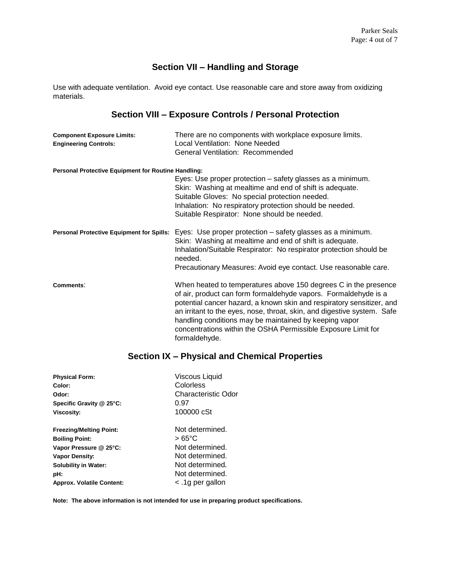# **Section VII – Handling and Storage**

Use with adequate ventilation. Avoid eye contact. Use reasonable care and store away from oxidizing materials.

# **Section VIII – Exposure Controls / Personal Protection**

| <b>Component Exposure Limits:</b><br><b>Engineering Controls:</b> | There are no components with workplace exposure limits.<br>Local Ventilation: None Needed<br>General Ventilation: Recommended                                                                                                                                                                                                                                                                                                      |
|-------------------------------------------------------------------|------------------------------------------------------------------------------------------------------------------------------------------------------------------------------------------------------------------------------------------------------------------------------------------------------------------------------------------------------------------------------------------------------------------------------------|
| <b>Personal Protective Equipment for Routine Handling:</b>        |                                                                                                                                                                                                                                                                                                                                                                                                                                    |
|                                                                   | Eyes: Use proper protection - safety glasses as a minimum.<br>Skin: Washing at mealtime and end of shift is adequate.<br>Suitable Gloves: No special protection needed.<br>Inhalation: No respiratory protection should be needed.<br>Suitable Respirator: None should be needed.                                                                                                                                                  |
| <b>Personal Protective Equipment for Spills:</b>                  | Eyes: Use proper protection - safety glasses as a minimum.<br>Skin: Washing at mealtime and end of shift is adequate.<br>Inhalation/Suitable Respirator: No respirator protection should be<br>needed.<br>Precautionary Measures: Avoid eye contact. Use reasonable care.                                                                                                                                                          |
| Comments:                                                         | When heated to temperatures above 150 degrees C in the presence<br>of air, product can form formaldehyde vapors. Formaldehyde is a<br>potential cancer hazard, a known skin and respiratory sensitizer, and<br>an irritant to the eyes, nose, throat, skin, and digestive system. Safe<br>handling conditions may be maintained by keeping vapor<br>concentrations within the OSHA Permissible Exposure Limit for<br>formaldehyde. |

## **Section IX – Physical and Chemical Properties**

| <b>Physical Form:</b>            | <b>Viscous Liquid</b> |
|----------------------------------|-----------------------|
| Color:                           | Colorless             |
| Odor:                            | Characteristic Odor   |
| Specific Gravity @ 25°C:         | 0.97                  |
| <b>Viscosity:</b>                | 100000 cSt            |
| <b>Freezing/Melting Point:</b>   | Not determined.       |
| <b>Boiling Point:</b>            | $>65^{\circ}$ C       |
| Vapor Pressure @ 25°C:           | Not determined.       |
| <b>Vapor Density:</b>            | Not determined.       |
| <b>Solubility in Water:</b>      | Not determined.       |
| pH:                              | Not determined.       |
| <b>Approx. Volatile Content:</b> | lg per gallon         |

**Note: The above information is not intended for use in preparing product specifications.**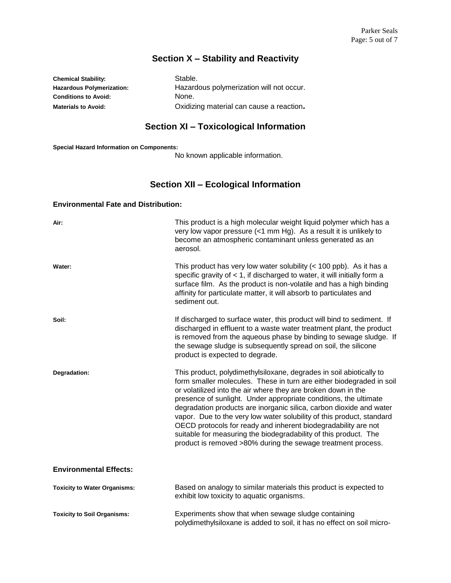# **Section X – Stability and Reactivity**

**Chemical Stability:** Stable. **Hazardous Polymerization:** Hazardous polymerization will not occur. **Conditions to Avoid:** None. **Materials to Avoid:** Oxidizing material can cause a reaction**.**

# **Section XI – Toxicological Information**

**Special Hazard Information on Components:**

No known applicable information.

# **Section XII – Ecological Information**

#### **Environmental Fate and Distribution:**

| Air:                                | This product is a high molecular weight liquid polymer which has a<br>very low vapor pressure $\left($ <1 mm Hg). As a result it is unlikely to<br>become an atmospheric contaminant unless generated as an<br>aerosol.                                                                                                                                                                                                                                                                                                                                                                                                                |
|-------------------------------------|----------------------------------------------------------------------------------------------------------------------------------------------------------------------------------------------------------------------------------------------------------------------------------------------------------------------------------------------------------------------------------------------------------------------------------------------------------------------------------------------------------------------------------------------------------------------------------------------------------------------------------------|
| Water:                              | This product has very low water solubility $(< 100$ ppb). As it has a<br>specific gravity of $<$ 1, if discharged to water, it will initially form a<br>surface film. As the product is non-volatile and has a high binding<br>affinity for particulate matter, it will absorb to particulates and<br>sediment out.                                                                                                                                                                                                                                                                                                                    |
| Soil:                               | If discharged to surface water, this product will bind to sediment. If<br>discharged in effluent to a waste water treatment plant, the product<br>is removed from the aqueous phase by binding to sewage sludge. If<br>the sewage sludge is subsequently spread on soil, the silicone<br>product is expected to degrade.                                                                                                                                                                                                                                                                                                               |
| Degradation:                        | This product, polydimethylsiloxane, degrades in soil abiotically to<br>form smaller molecules. These in turn are either biodegraded in soil<br>or volatilized into the air where they are broken down in the<br>presence of sunlight. Under appropriate conditions, the ultimate<br>degradation products are inorganic silica, carbon dioxide and water<br>vapor. Due to the very low water solubility of this product, standard<br>OECD protocols for ready and inherent biodegradability are not<br>suitable for measuring the biodegradability of this product. The<br>product is removed >80% during the sewage treatment process. |
| <b>Environmental Effects:</b>       |                                                                                                                                                                                                                                                                                                                                                                                                                                                                                                                                                                                                                                        |
| <b>Toxicity to Water Organisms:</b> | Based on analogy to similar materials this product is expected to<br>exhibit low toxicity to aquatic organisms.                                                                                                                                                                                                                                                                                                                                                                                                                                                                                                                        |
| <b>Toxicity to Soil Organisms:</b>  | Experiments show that when sewage sludge containing<br>polydimethylsiloxane is added to soil, it has no effect on soil micro-                                                                                                                                                                                                                                                                                                                                                                                                                                                                                                          |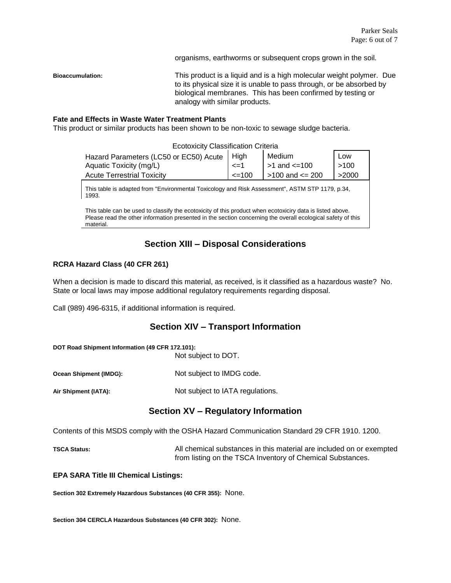organisms, earthworms or subsequent crops grown in the soil.

**Bioaccumulation:** This product is a liquid and is a high molecular weight polymer. Due to its physical size it is unable to pass through, or be absorbed by biological membranes. This has been confirmed by testing or analogy with similar products.

#### **Fate and Effects in Waste Water Treatment Plants**

This product or similar products has been shown to be non-toxic to sewage sludge bacteria.

| <b>Ecotoxicity Classification Criteria</b>                                                               |            |                     |       |
|----------------------------------------------------------------------------------------------------------|------------|---------------------|-------|
| Hazard Parameters (LC50 or EC50) Acute   High                                                            |            | Medium              | Low   |
| Aquatic Toxicity (mg/L)                                                                                  | $\leq$ =1  | $>1$ and $<=100$    | >100  |
| <b>Acute Terrestrial Toxicity</b>                                                                        | $\leq 100$ | $>100$ and $<=$ 200 | >2000 |
| This table is adapted from "Environmental Toxicology and Risk Assessment", ASTM STP 1179, p.34,<br>1993. |            |                     |       |

This table can be used to classify the ecotoxicity of this product when ecotoxiciry data is listed above.

Please read the other information presented in the section concerning the overall ecological safety of this material.

# **Section XIII – Disposal Considerations**

#### **RCRA Hazard Class (40 CFR 261)**

When a decision is made to discard this material, as received, is it classified as a hazardous waste? No. State or local laws may impose additional regulatory requirements regarding disposal.

Call (989) 496-6315, if additional information is required.

### **Section XIV – Transport Information**

**DOT Road Shipment Information (49 CFR 172.101):**

Not subject to DOT.

**Ocean Shipment (IMDG):** Not subject to IMDG code.

Air Shipment (IATA): Not subject to IATA regulations.

### **Section XV – Regulatory Information**

Contents of this MSDS comply with the OSHA Hazard Communication Standard 29 CFR 1910. 1200.

**TSCA Status:** All chemical substances in this material are included on or exempted from listing on the TSCA Inventory of Chemical Substances.

#### **EPA SARA Title III Chemical Listings:**

**Section 302 Extremely Hazardous Substances (40 CFR 355):** None.

**Section 304 CERCLA Hazardous Substances (40 CFR 302):** None.